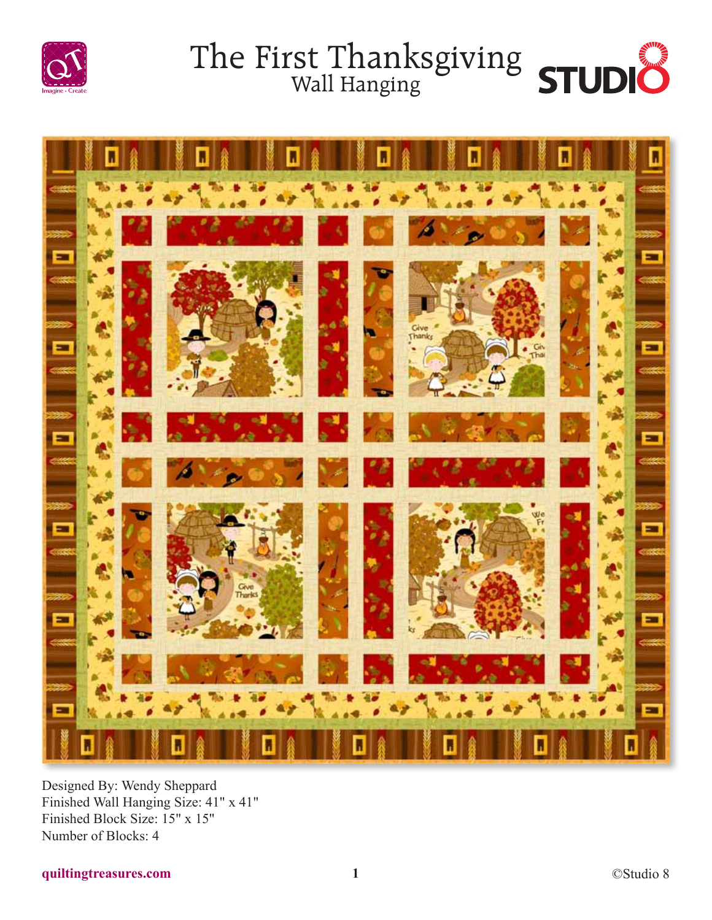







Designed By: Wendy Sheppard Finished Wall Hanging Size: 41" x 41" Finished Block Size: 15" x 15" Number of Blocks: 4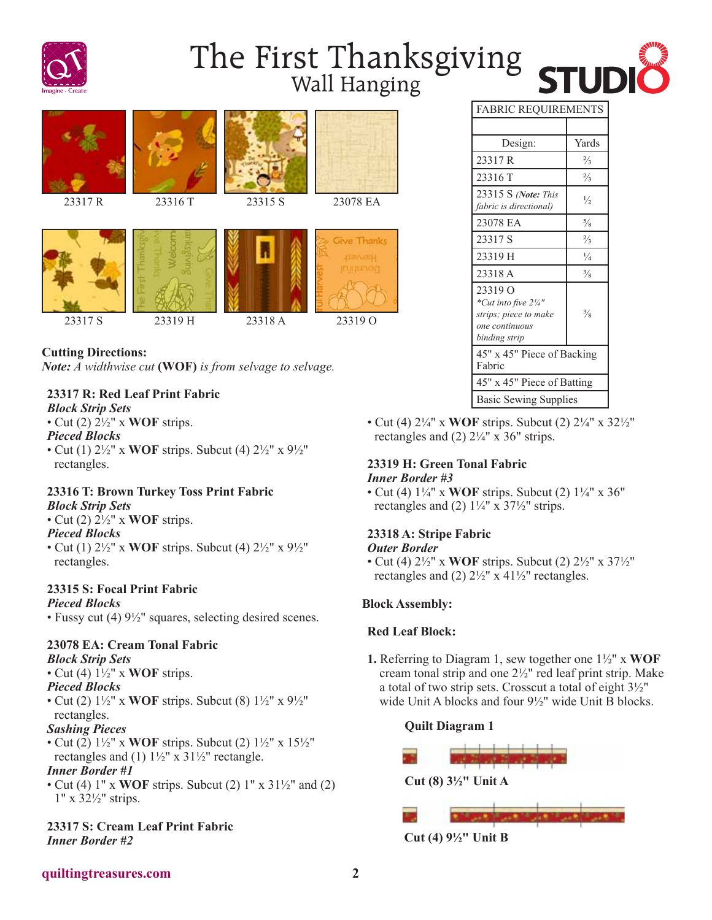

# The First Thanksgiving STUDI



**Cutting Directions:** *Note: A widthwise cut* **(WOF)** *is from selvage to selvage.*

#### **23317 R: Red Leaf Print Fabric**

*Block Strip Sets*

• Cut (2)  $2\frac{1}{2}$  x **WOF** strips.

*Pieced Blocks*

• Cut (1) 2½" x **WOF** strips. Subcut (4) 2½" x 9½" rectangles.

#### **23316 T: Brown Turkey Toss Print Fabric**

#### *Block Strip Sets*

• Cut (2) 2½" x **WOF** strips.

#### *Pieced Blocks*

• Cut (1) 2½" x **WOF** strips. Subcut (4) 2½" x 9½" rectangles.

#### **23315 S: Focal Print Fabric** *Pieced Blocks*

• Fussy cut (4) 9½" squares, selecting desired scenes.

#### **23078 EA: Cream Tonal Fabric**

#### *Block Strip Sets*

• Cut (4) 1½" x **WOF** strips.

*Pieced Blocks*

• Cut (2) 1½" x **WOF** strips. Subcut (8) 1½" x 9½" rectangles.

#### *Sashing Pieces*

• Cut (2) 1½" x **WOF** strips. Subcut (2) 1½" x 15½" rectangles and (1)  $1\frac{1}{2}$ " x  $31\frac{1}{2}$ " rectangle.

#### *Inner Border #1*

• Cut (4) 1" x **WOF** strips. Subcut (2) 1" x 31½" and (2) 1" x 32½" strips.

**23317 S: Cream Leaf Print Fabric** *Inner Border #2*

| <b>FABRIC REQUIREMENTS</b> |               |
|----------------------------|---------------|
|                            |               |
| Design:                    | Yards         |
| 23317 R                    | $\frac{2}{3}$ |
| 23316T                     | $\frac{2}{3}$ |
|                            |               |

| 23317 R                                                                                                | $\frac{2}{3}$ |
|--------------------------------------------------------------------------------------------------------|---------------|
| 23316 T                                                                                                | $\frac{2}{3}$ |
| 23315 S (Note: This<br>fabric is directional)                                                          | $\frac{1}{2}$ |
| 23078 EA                                                                                               | $\frac{5}{8}$ |
| 23317 S                                                                                                | $\frac{2}{3}$ |
| 23319 H                                                                                                | $\frac{1}{4}$ |
| 23318 A                                                                                                | $\frac{3}{8}$ |
| 23319 O<br>*Cut into five $2\frac{1}{4}$ "<br>strips; piece to make<br>one continuous<br>binding strip | $\frac{3}{8}$ |
| 45" x 45" Piece of Backing<br>Fabric                                                                   |               |
| 45" x 45" Piece of Batting                                                                             |               |
| <b>Basic Sewing Supplies</b>                                                                           |               |

• Cut (4) 2¼" x **WOF** strips. Subcut (2) 2¼" x 32½" rectangles and  $(2)$  2¼" x 36" strips.

#### **23319 H: Green Tonal Fabric** *Inner Border #3*

• Cut (4) 1¼" x **WOF** strips. Subcut (2) 1¼" x 36" rectangles and (2)  $1\frac{1}{4}$ " x  $37\frac{1}{2}$ " strips.

#### **23318 A: Stripe Fabric**

#### *Outer Border*

• Cut (4) 2½" x **WOF** strips. Subcut (2) 2½" x 37½" rectangles and (2)  $2\frac{1}{2}$ " x 41 $\frac{1}{2}$ " rectangles.

#### **Block Assembly:**

#### **Red Leaf Block:**

**1.** Referring to Diagram 1, sew together one 1½" x **WOF** cream tonal strip and one 2½" red leaf print strip. Make a total of two strip sets. Crosscut a total of eight 3½" wide Unit A blocks and four 9½" wide Unit B blocks.

#### **Quilt Diagram 1**

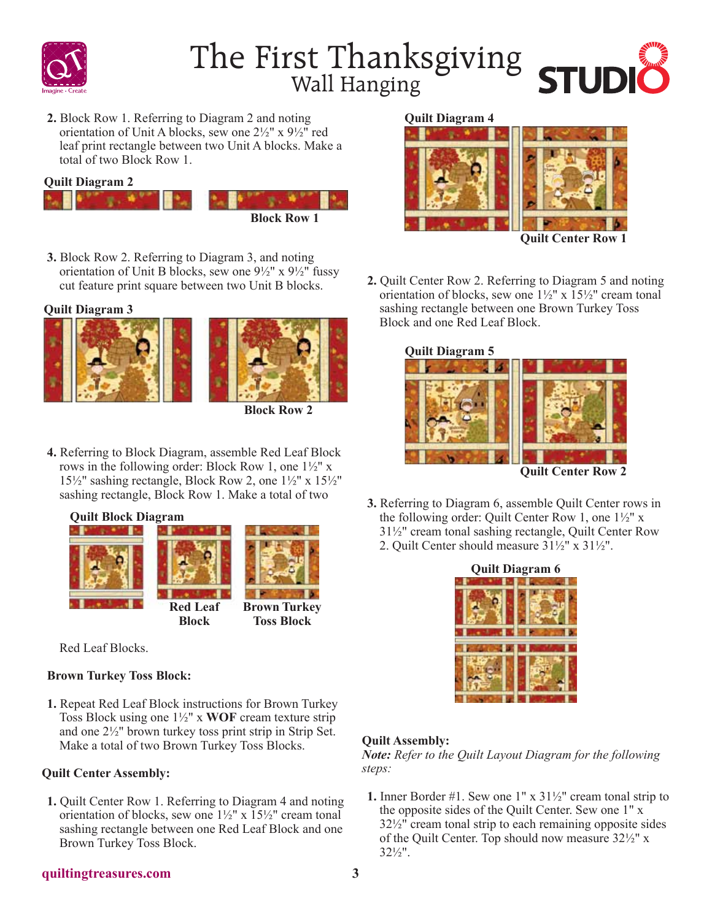

## The First Thanksgiving<br>Wall Hanging



**2.** Block Row 1. Referring to Diagram 2 and noting orientation of Unit A blocks, sew one 2½" x 9½" red leaf print rectangle between two Unit A blocks. Make a total of two Block Row 1.

**Quilt Diagram 2**



**3.** Block Row 2. Referring to Diagram 3, and noting orientation of Unit B blocks, sew one  $9\frac{1}{2}$ " x  $9\frac{1}{2}$ " fussy cut feature print square between two Unit B blocks.

**Quilt Diagram 3**





**Block Row 2**

**4.** Referring to Block Diagram, assemble Red Leaf Block rows in the following order: Block Row 1, one 1½" x  $15\frac{1}{2}$ " sashing rectangle, Block Row 2, one  $1\frac{1}{2}$ " x  $15\frac{1}{2}$ " sashing rectangle, Block Row 1. Make a total of two

**Quilt Block Diagram**



Red Leaf Blocks.

#### **Brown Turkey Toss Block:**

**1.** Repeat Red Leaf Block instructions for Brown Turkey Toss Block using one 1½" x **WOF** cream texture strip and one 2½" brown turkey toss print strip in Strip Set. Make a total of two Brown Turkey Toss Blocks.

#### **Quilt Center Assembly:**

**1.** Quilt Center Row 1. Referring to Diagram 4 and noting orientation of blocks, sew one  $1\frac{1}{2}$ " x  $15\frac{1}{2}$ " cream tonal sashing rectangle between one Red Leaf Block and one Brown Turkey Toss Block.

#### **Quilt Diagram 4**



**2.** Quilt Center Row 2. Referring to Diagram 5 and noting orientation of blocks, sew one  $1\frac{1}{2}$ " x  $15\frac{1}{2}$ " cream tonal sashing rectangle between one Brown Turkey Toss Block and one Red Leaf Block.



**3.** Referring to Diagram 6, assemble Quilt Center rows in the following order: Quilt Center Row 1, one 1½" x 31½" cream tonal sashing rectangle, Quilt Center Row 2. Quilt Center should measure 31½" x 31½".



#### **Quilt Assembly:**

*Note: Refer to the Quilt Layout Diagram for the following steps:*

**1.** Inner Border #1. Sew one 1" x 31½" cream tonal strip to the opposite sides of the Quilt Center. Sew one 1" x 32½" cream tonal strip to each remaining opposite sides of the Quilt Center. Top should now measure 32½" x 32½".

#### **quiltingtreasures.com 3**